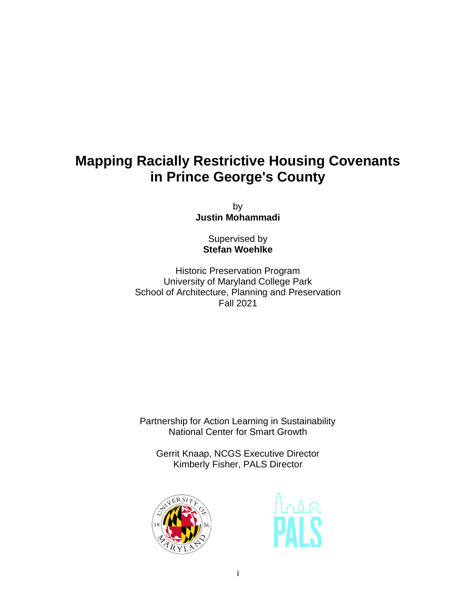## **Mapping Racially Restrictive Housing Covenants in Prince George's County**

by **Justin Mohammadi**

Supervised by **Stefan Woehlke**

Historic Preservation Program University of Maryland College Park School of Architecture, Planning and Preservation Fall 2021

Partnership for Action Learning in Sustainability National Center for Smart Growth

Gerrit Knaap, NCGS Executive Director Kimberly Fisher, PALS Director



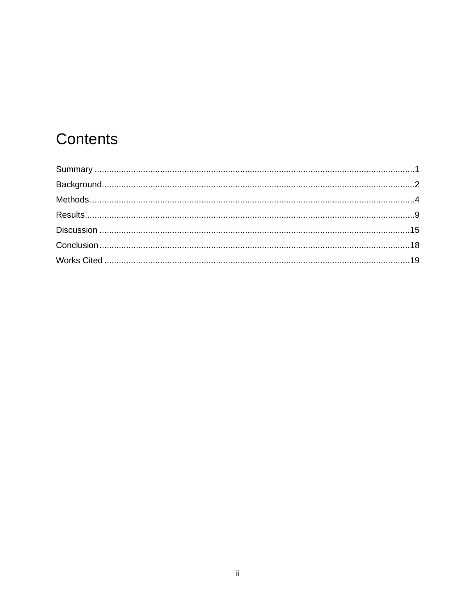# Contents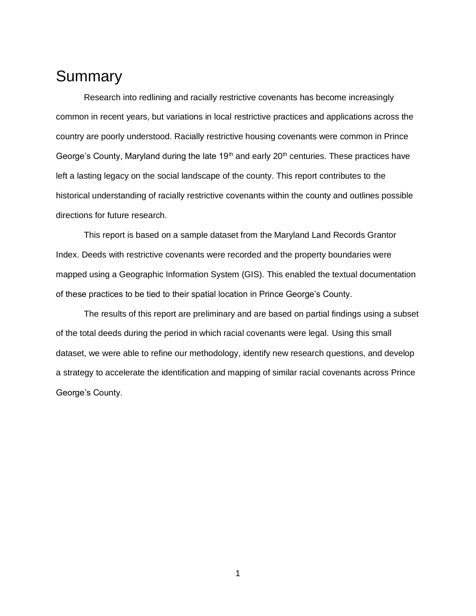### <span id="page-2-0"></span>**Summary**

Research into redlining and racially restrictive covenants has become increasingly common in recent years, but variations in local restrictive practices and applications across the country are poorly understood. Racially restrictive housing covenants were common in Prince George's County, Maryland during the late 19<sup>th</sup> and early 20<sup>th</sup> centuries. These practices have left a lasting legacy on the social landscape of the county. This report contributes to the historical understanding of racially restrictive covenants within the county and outlines possible directions for future research.

This report is based on a sample dataset from the Maryland Land Records Grantor Index. Deeds with restrictive covenants were recorded and the property boundaries were mapped using a Geographic Information System (GIS). This enabled the textual documentation of these practices to be tied to their spatial location in Prince George's County.

The results of this report are preliminary and are based on partial findings using a subset of the total deeds during the period in which racial covenants were legal. Using this small dataset, we were able to refine our methodology, identify new research questions, and develop a strategy to accelerate the identification and mapping of similar racial covenants across Prince George's County.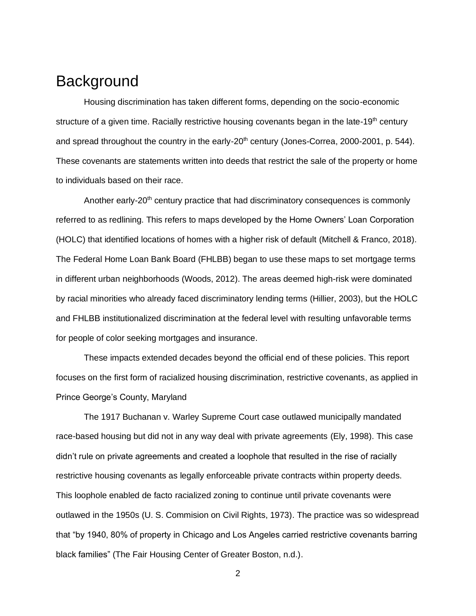## <span id="page-3-0"></span>**Background**

Housing discrimination has taken different forms, depending on the socio-economic structure of a given time. Racially restrictive housing covenants began in the late-19<sup>th</sup> century and spread throughout the country in the early-20<sup>th</sup> century (Jones-Correa, 2000-2001, p. 544). These covenants are statements written into deeds that restrict the sale of the property or home to individuals based on their race.

Another early-20<sup>th</sup> century practice that had discriminatory consequences is commonly referred to as redlining. This refers to maps developed by the Home Owners' Loan Corporation (HOLC) that identified locations of homes with a higher risk of default (Mitchell & Franco, 2018). The Federal Home Loan Bank Board (FHLBB) began to use these maps to set mortgage terms in different urban neighborhoods (Woods, 2012). The areas deemed high-risk were dominated by racial minorities who already faced discriminatory lending terms (Hillier, 2003), but the HOLC and FHLBB institutionalized discrimination at the federal level with resulting unfavorable terms for people of color seeking mortgages and insurance.

These impacts extended decades beyond the official end of these policies. This report focuses on the first form of racialized housing discrimination, restrictive covenants, as applied in Prince George's County, Maryland

The 1917 Buchanan v. Warley Supreme Court case outlawed municipally mandated race-based housing but did not in any way deal with private agreements (Ely, 1998). This case didn't rule on private agreements and created a loophole that resulted in the rise of racially restrictive housing covenants as legally enforceable private contracts within property deeds. This loophole enabled de facto racialized zoning to continue until private covenants were outlawed in the 1950s (U. S. Commision on Civil Rights, 1973). The practice was so widespread that "by 1940, 80% of property in Chicago and Los Angeles carried restrictive covenants barring black families" (The Fair Housing Center of Greater Boston, n.d.).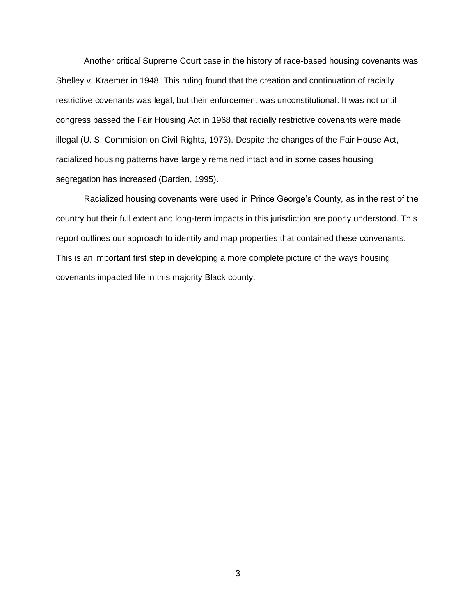Another critical Supreme Court case in the history of race-based housing covenants was Shelley v. Kraemer in 1948. This ruling found that the creation and continuation of racially restrictive covenants was legal, but their enforcement was unconstitutional. It was not until congress passed the Fair Housing Act in 1968 that racially restrictive covenants were made illegal (U. S. Commision on Civil Rights, 1973). Despite the changes of the Fair House Act, racialized housing patterns have largely remained intact and in some cases housing segregation has increased (Darden, 1995).

Racialized housing covenants were used in Prince George's County, as in the rest of the country but their full extent and long-term impacts in this jurisdiction are poorly understood. This report outlines our approach to identify and map properties that contained these convenants. This is an important first step in developing a more complete picture of the ways housing covenants impacted life in this majority Black county.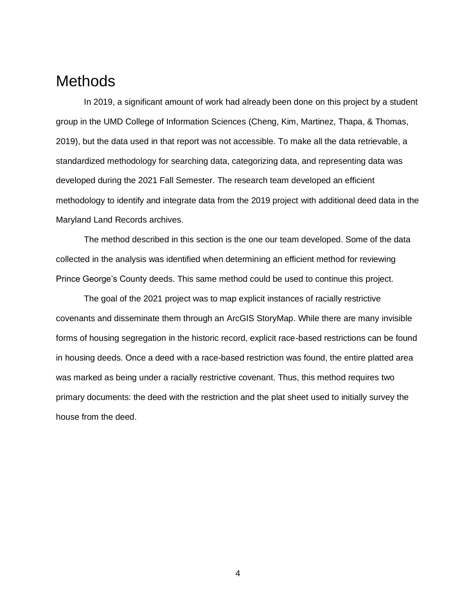#### <span id="page-5-0"></span>**Methods**

In 2019, a significant amount of work had already been done on this project by a student group in the UMD College of Information Sciences (Cheng, Kim, Martinez, Thapa, & Thomas, 2019), but the data used in that report was not accessible. To make all the data retrievable, a standardized methodology for searching data, categorizing data, and representing data was developed during the 2021 Fall Semester. The research team developed an efficient methodology to identify and integrate data from the 2019 project with additional deed data in the Maryland Land Records archives.

The method described in this section is the one our team developed. Some of the data collected in the analysis was identified when determining an efficient method for reviewing Prince George's County deeds. This same method could be used to continue this project.

The goal of the 2021 project was to map explicit instances of racially restrictive covenants and disseminate them through an ArcGIS StoryMap. While there are many invisible forms of housing segregation in the historic record, explicit race-based restrictions can be found in housing deeds. Once a deed with a race-based restriction was found, the entire platted area was marked as being under a racially restrictive covenant. Thus, this method requires two primary documents: the deed with the restriction and the plat sheet used to initially survey the house from the deed.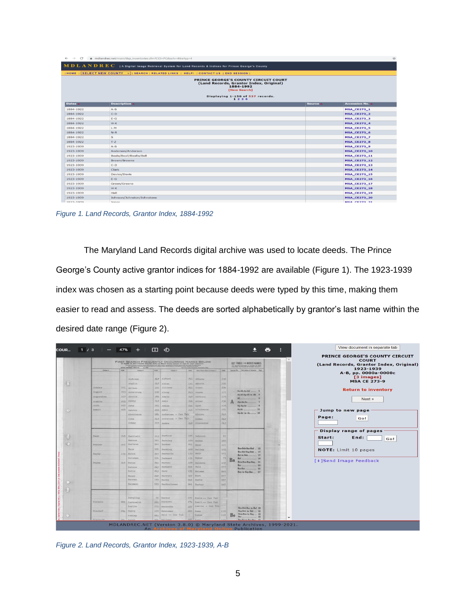| $\leftarrow$ $\rightarrow$<br>$\mathbb{C}^r$ | mdlandrec.net/main/dsp_inventories.cfm?CID=PG&sch=4&srtyp=I                                                                                                                     |                      | $\mathbf{x}^{\star}_{\mathbf{f}}$ |
|----------------------------------------------|---------------------------------------------------------------------------------------------------------------------------------------------------------------------------------|----------------------|-----------------------------------|
|                                              | $\bf{M}$ $\bf{D}$ $\bf{L}$ $\bf{A}$ $\bf{N}$ $\bf{D}$ $\bf{R}$ $\bf{E}$ $\bf{C}$ $\bf{}$ a Digital Image Retrieval System for Land Records & Indices for Prince George's County |                      |                                   |
|                                              | HOME   SELECT NEW COUNTY   V   SEARCH   RELATED LINKS   HELP!   CONTACT US   END SESSION                                                                                        |                      |                                   |
|                                              | <b>PRINCE GEORGE'S COUNTY CIRCUIT COURT</b><br>(Land Records, Grantor Index, Original)<br>1884-1992<br>[New Search]                                                             |                      |                                   |
|                                              | Displaying 1-150 of 537 records.<br>1, 2, 3, 4                                                                                                                                  |                      |                                   |
| Dates A                                      | <b>Description A</b>                                                                                                                                                            | Source $\rightarrow$ | <b>Accession No. 4</b>            |
| 1884-1922                                    | $A - B$                                                                                                                                                                         |                      | <b>MSA_CE273_1</b>                |
| 1884-1922                                    | $C-D$                                                                                                                                                                           |                      | <b>MSA_CE273_2</b>                |
| 1884-1922                                    | $E-G$                                                                                                                                                                           |                      | <b>MSA_CE273_3</b>                |
| 1884-1922                                    | $H-K$                                                                                                                                                                           |                      | <b>MSA_CE273_4</b>                |
| 1884-1922                                    | $L-M$                                                                                                                                                                           |                      | <b>MSA_CE273_5</b>                |
| 1884-1922                                    | $N-R$                                                                                                                                                                           |                      | <b>MSA_CE273_6</b>                |
| 1884-1922                                    | $\mathbf S$                                                                                                                                                                     |                      | <b>MSA CE273_7</b>                |
| 1884-1922                                    | $T-Z$                                                                                                                                                                           |                      | <b>MSA_CE273_8</b>                |
| 1923-1939                                    | $A-B$                                                                                                                                                                           |                      | <b>MSA CE273 9</b>                |
| 1923-1939                                    | Andersen/Anderson                                                                                                                                                               |                      | <b>MSA_CE273_10</b>               |
| 1923-1939                                    | Beale/Beall/Bealle/Bell                                                                                                                                                         |                      | <b>MSA_CE273_11</b>               |
| 1923-1939                                    | Brown/Browne                                                                                                                                                                    |                      | <b>MSA_CE273_12</b>               |
| 1923-1939                                    | $C-D$                                                                                                                                                                           |                      | <b>MSA_CE273_13</b>               |
| 1923-1939                                    | Clark                                                                                                                                                                           |                      | <b>MSA_CE273_14</b>               |
| 1923-1939                                    | Davies/Davis                                                                                                                                                                    |                      | <b>MSA_CE273_15</b>               |
| 1923-1939                                    | $E-G$                                                                                                                                                                           |                      | <b>MSA_CE273_16</b>               |
| 1923-1939                                    | Green/Greene                                                                                                                                                                    |                      | <b>MSA_CE273_17</b>               |
| 1923-1939                                    | $H-K$                                                                                                                                                                           |                      | <b>MSA_CE273_18</b>               |
| 1923-1939                                    | Hall                                                                                                                                                                            |                      | <b>MSA_CE273_19</b>               |
| 1923-1939                                    | Johnson/Johnston/Johnstone                                                                                                                                                      |                      | <b>MSA CE273 20</b>               |
| 1023-1030                                    | <b>Jones</b>                                                                                                                                                                    |                      | <b>MSA CE273 21</b>               |

<span id="page-6-0"></span>*Figure 1. Land Records, Grantor Index, 1884-1992*

The Maryland Land Records digital archive was used to locate deeds. The Prince George's County active grantor indices for 1884-1992 are available [\(Figure 1\)](#page-6-0). The 1923-1939 index was chosen as a starting point because deeds were typed by this time, making them easier to read and assess. The deeds are sorted alphabetically by grantor's last name within the desired date range [\(Figure 2\)](#page-6-1).

|             |       | <b>Max. INCLZ Ro.</b> |       | <b>FIRST SEARCH FREQUENTLY OCCURRING NAMES BELOW</b> |                |                               |      |    | <b>KEY TABLE FOR MIXED NAMES</b><br>TO WHITH RETER OF NAME IS NOT | PRINCE GEORGE'S COUNTY CIRCUIT<br><b>COURT</b><br>(Land Records, Grantor Index, Original) |
|-------------|-------|-----------------------|-------|------------------------------------------------------|----------------|-------------------------------|------|----|-------------------------------------------------------------------|-------------------------------------------------------------------------------------------|
| Calence 6   | rest. | Column 3              | rost. | Column 3                                             | PARC.          | fater Nessa First in Column 1 | PATE |    | Autumnit Drs. First Lation of Sumpos Page                         | 1923-1939                                                                                 |
|             |       |                       |       |                                                      |                |                               |      |    |                                                                   | A-B, pp. 0000a-0000c                                                                      |
|             |       | Andrews               |       | 257 Alford                                           |                | 241 Abbate                    | 235  |    |                                                                   | [3 images]                                                                                |
|             |       | Anglin                |       | $247$ Allen                                          |                | 121 Abbott                    | 235  |    |                                                                   | <b>MSA CE 273-9</b>                                                                       |
| Atkins      |       | 251 Arlsso            |       | 185 Allison                                          | 211            | Acker                         | 236  |    |                                                                   |                                                                                           |
| August      |       | 853 Armstrong         |       | 105 Alvey                                            |                | 243 Adams                     | 177  |    | An-Ab-Ac-Ad 1                                                     | <b>Return to inventory</b>                                                                |
| Augustine   |       | 257 Armold            |       | $183$ Amato                                          |                | 268 Addison                   | 179  |    | An-Af-An-Ah to Ak 3                                               |                                                                                           |
| Austin      |       | 258 Ashby             |       | $21.9$ Amis                                          |                | 2h6 Adler                     | 236  |    | Am-An-Ao                                                          | Next »                                                                                    |
| Auth        |       | $257$ Aghe            |       | 251 Amiss                                            | $216 -$        | Agor                          | 239  |    | Ap-Aq-Ar.                                                         |                                                                                           |
| Awalt       | 258   | Ashton                |       | 250 Amos                                             | 2685           | Aitcheson                     | 181  |    | As-At<br>11                                                       | Jump to new page                                                                          |
|             |       | Atchinson             |       | 181 Andersen - See Tab                               |                | Alcorn                        | 252  |    | Au-Av to Az 13                                                    |                                                                                           |
|             |       | Athe                  | 25.9  | Anderson - See Tab                                   |                | Alden                         | 242  |    |                                                                   | Page:<br>Go!                                                                              |
|             |       | Athey                 |       | 250 Andre                                            | B <sub>4</sub> | Alexander                     | 243  |    |                                                                   |                                                                                           |
|             |       |                       |       |                                                      |                |                               |      |    |                                                                   |                                                                                           |
|             |       |                       |       |                                                      |                |                               |      |    |                                                                   | <b>Display range of pages</b>                                                             |
| <b>Baur</b> |       | 268 Bartlett          |       | 163 Barbour                                          |                | 165 Sabcock                   | 87   |    |                                                                   |                                                                                           |
|             |       | <b>Narton</b>         |       | 161 Sarolay                                          | 269            | <b>Baden</b>                  | 187  |    |                                                                   | Start:<br>End:<br>Go!                                                                     |
| Barter      | 267   | Bartron               |       | 161 Barker                                           |                | 261 Baer                      | 223  |    |                                                                   |                                                                                           |
|             |       | Base                  |       | 101 Barkley                                          |                | $169$ Bailey                  | 103  |    | Ban-Bab-Bac-Bad __ 15                                             | NOTE: Limit 10 pages                                                                      |
| Bayly       |       | 103 Batch             | 265   | Barnaclo                                             |                | 173   Bair                    | 123  |    | Bae-Baf-Bag-Bah _ 17                                              |                                                                                           |
|             |       | Bateman               | 191   | Barnard                                              |                | 171 Baker                     | 79   |    | Bai to Bak<br>17                                                  |                                                                                           |
| Bayne       | 267   | Batas                 | 266   | Barner                                               |                | $159$ Beldwin                 | 107  | Ba | 19<br>Bom-Ban-Bap-Bag., 21                                        | [+]Send Image Feedback                                                                    |
|             |       |                       |       |                                                      |                | $262$ Bmll                    | 259  |    | 23                                                                |                                                                                           |
|             |       | Batson<br>Batts       | 265   | Barnett<br>263 Barr                                  |                | 175 Balann                    | 260  |    | Bas-Bat<br>$-25$                                                  |                                                                                           |
|             |       |                       |       | 268 Barrett                                          | 267            | Barb                          | 157  |    | Bau to Bay-Bax 27                                                 |                                                                                           |
|             |       | Bauer<br>Bauman       |       | 193 Barry                                            | 262            | Sarbe                         | 257  |    |                                                                   |                                                                                           |
|             |       | Baumann               |       | 193 Bartholonew                                      |                | 261 Barber                    | 165  |    |                                                                   |                                                                                           |
|             |       |                       |       |                                                      |                |                               |      |    |                                                                   |                                                                                           |
|             |       |                       |       |                                                      |                |                               |      |    |                                                                   |                                                                                           |
|             |       |                       |       |                                                      |                |                               |      |    |                                                                   |                                                                                           |
|             |       | Bergling              |       | 85 Becker                                            |                | 275 Beale - See Tab           |      |    |                                                                   |                                                                                           |
| Birkett     |       | 252 Herkowitz         |       | 281 Beckett                                          |                | 274 Beall -- See Tab          |      |    |                                                                   |                                                                                           |
|             |       | Berlin                |       | 203 Beckwith                                         | 325            | Bealls - See Tab              |      |    | Bea-Beb-Bec to Bef 29                                             |                                                                                           |
| Bischof     |       | 284 Berry             |       | 109 Behneman                                         | 288            | <b>Bean</b>                   | 119  |    | Beg-Beh to Bel __ 31<br>Bem-Ben to Beg __ 33                      |                                                                                           |
| $B$ tachart |       | Sewley                |       | 263 Bell -- See Tab<br>1000                          |                | Beane                         | 119  | Be | 35                                                                |                                                                                           |

<span id="page-6-1"></span>*Figure 2. Land Records, Grantor Index, 1923-1939, A-B*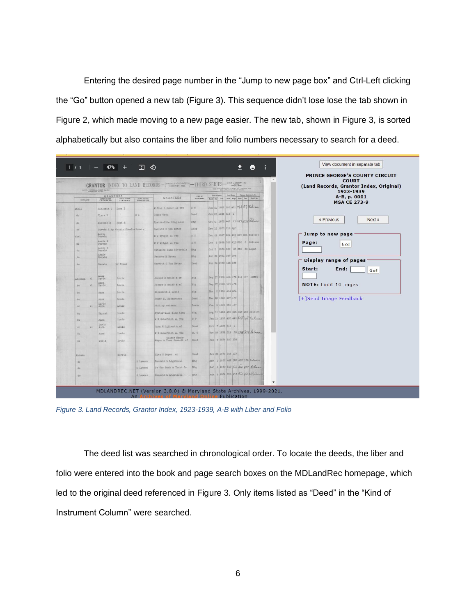Entering the desired page number in the "Jump to new page box" and Ctrl-Left clicking the "Go" button opened a new tab (Figure 3). This sequence didn't lose lose the tab shown in Figure 2, which made moving to a new page easier. The new tab, shown in [Figure 3,](#page-7-0) is sorted alphabetically but also contains the liber and folio numbers necessary to search for a deed.

|                | COPTOS UNIVERSAL DEDICT No. 2-8    |                                  |                    |                                      |                                           | <b>GRANTOR</b> INDEX TO LAND RECORDS- $ ^{p_{RINCE}}$ GEORGE'S-THIRD SERIES-From January 141,<br>THE CITY TROUTISE & INDEX CO., Cultures, Oliv- | <b>COURT</b><br>(Land Records, Grantor Index, Original)<br>1923-1939 |
|----------------|------------------------------------|----------------------------------|--------------------|--------------------------------------|-------------------------------------------|-------------------------------------------------------------------------------------------------------------------------------------------------|----------------------------------------------------------------------|
| SURNAME        | <b>GRANTORS</b><br><b>ANGERPOR</b> | <b>IFELMNO</b>                   | <b>GIVEN NAMES</b> | <b>GRANTEES</b>                      | <b>KMS OF</b><br><b><i>INSTRUMENT</i></b> | Land Rooms   National, Andgment, Etc.<br><b>Sale of Renet</b><br>Moth Exp Year Book Page Expt Page Mont It is.                                  | A B, p. 0001<br><b>MSA CE 273-9</b>                                  |
| Abell          | Benjamin C                         | Inez I                           |                    | Alfred B Baker al Tra                | D <sub>T</sub>                            | Jun 21 1927 297 481 761 87 Release                                                                                                              |                                                                      |
| do             | Clara B                            |                                  | $\overline{a}$ G   | Coney Owen                           | Deed                                      | Jan 27 1988 314 1                                                                                                                               |                                                                      |
| do             | Dorothy B                          | John S                           |                    | Hyattsville Bldg Assn                | Mtg.                                      | Oct 4 1935 442 21 822458 Roleage                                                                                                                | « Previous<br>Next »                                                 |
| do             |                                    | Darwin L by County Commissioners |                    | Garrett O Van Meter                  | Deed                                      | Dec 16 1938 519 148                                                                                                                             |                                                                      |
| Abel           | Annie<br>Darwin                    |                                  |                    | M J Wright al Tre                    | DT.                                       | Dec 22 1927 304 496 339 206 Release                                                                                                             | Jump to new page                                                     |
| do             | Annie R<br>Darwin                  |                                  |                    | M J Wright al Tra                    | DT:                                       | Dec 9 1929 322 478 362 6 Release                                                                                                                | Page:<br>Go!                                                         |
| do             | Annie R<br>Darwin                  |                                  |                    | Citizens Benk Riverdale              | Mtg                                       | Oct 3 1930 350 28 350 30 Asgnt                                                                                                                  |                                                                      |
| do             | Annie<br>Darain                    |                                  |                    | Frances M Brown                      | Mtg                                       | Jun 86 1931 367 394                                                                                                                             |                                                                      |
| do             | Darwin                             | by Treas                         |                    | Carrett O Van Meter                  | Deed                                      | Jun 26 1936 445 186                                                                                                                             | Display range of pages                                               |
|                |                                    |                                  |                    |                                      |                                           |                                                                                                                                                 | End:<br>Start:<br>Go!                                                |
|                | Anna                               | Louis                            |                    | Joseph B Welss & wf                  | Mtg.                                      | Sep 17 1935 414 175 414 177 Asgnt                                                                                                               |                                                                      |
| nI<br>Ahelman  | David<br>Anna                      |                                  |                    | Joseph B Weiss & wf                  | 混乱                                        | Sep 17 1935 414 178                                                                                                                             | NOTE: Limit 10 pages                                                 |
| n1<br>ião      | David                              | Louis                            |                    | Elizabeth A Lewis                    | Mtg.                                      | Nov 5 1935 414 424                                                                                                                              |                                                                      |
| đo.            | Annu                               | Louis                            |                    |                                      | Deed                                      | Mar 28 1936 447 179                                                                                                                             | [+]Send Image Feedback                                               |
| d <sub>0</sub> | Anna<br>David                      | Louis                            |                    | Henry H. Richardson                  | Longe                                     | Jun 1 1936 452 147                                                                                                                              |                                                                      |
| al.<br>do      | Anna                               | Louis                            |                    | Phillip Weinman                      |                                           |                                                                                                                                                 |                                                                      |
| do             | Hanneh                             | Louis                            |                    | Hyattsville Bldg Asan                | Mtg.                                      | Aug 12 1936 455 225 457 158 Release<br>Jan 15 1937 453 442 808 68 Release                                                                       |                                                                      |
| do:            | Anna<br>David                      | Louis                            |                    | # G Schafhirt al Tra                 | 四世                                        |                                                                                                                                                 |                                                                      |
| el.<br>do      | Anna                               | Louis                            |                    | John F Lillard & mf                  | Deed.                                     | Oct 7 1938 513 9                                                                                                                                |                                                                      |
| do             | Anna                               | Louis                            |                    | W G Schafhirt al Tra<br>Colmar Manor | $D - T$                                   | Nov 28 1938 519 68 294 538 Release                                                                                                              |                                                                      |
| do.            | Dayid                              | Louis                            |                    | Mayor & Town Council of              | Deed.                                     | Jan 9 1939 520 135                                                                                                                              |                                                                      |
| Abrams         |                                    | Morris                           |                    | Elve C Hoyer al                      | Deed                                      | Jul 30 1930 345 117                                                                                                                             |                                                                      |
| do.            |                                    |                                  | S Lawson           | Bennett L Lightbown                  | Mtz                                       | Apr   1 1937 462 187 462 189 Belease                                                                                                            |                                                                      |
| do             |                                    |                                  | S Lawson           | Pr Geo Bank & Trust Go               | Mtg                                       | Mar 1 1939 510 415 310 417 Pelesa                                                                                                               |                                                                      |
| do             |                                    |                                  | S Lewson           | Bennett L Lightbown                  | Mtx                                       | Mar 1 1939 510 418 510 420 Release                                                                                                              |                                                                      |

<span id="page-7-0"></span>*Figure 3. Land Records, Grantor Index, 1923-1939, A-B with Liber and Folio*

The deed list was searched in chronological order. To locate the deeds, the liber and folio were entered into the book and page search boxes on the MDLandRec homepage, which led to the original deed referenced in Figure 3. Only items listed as "Deed" in the "Kind of Instrument Column" were searched.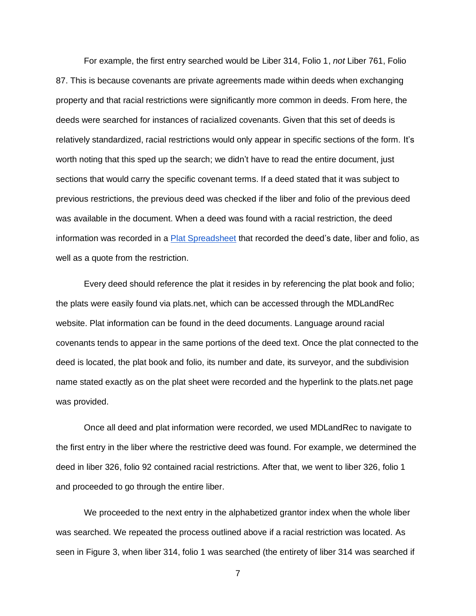For example, the first entry searched would be Liber 314, Folio 1, *not* Liber 761, Folio 87. This is because covenants are private agreements made within deeds when exchanging property and that racial restrictions were significantly more common in deeds. From here, the deeds were searched for instances of racialized covenants. Given that this set of deeds is relatively standardized, racial restrictions would only appear in specific sections of the form. It's worth noting that this sped up the search; we didn't have to read the entire document, just sections that would carry the specific covenant terms. If a deed stated that it was subject to previous restrictions, the previous deed was checked if the liber and folio of the previous deed was available in the document. When a deed was found with a racial restriction, the deed information was recorded in a [Plat Spreadsheet](https://docs.google.com/spreadsheets/u/0/d/1XGSHjLzmZX4Ydaan9QEwKlNZ0V95dBZ7yqlRt4bQg40/edit) that recorded the deed's date, liber and folio, as well as a quote from the restriction.

Every deed should reference the plat it resides in by referencing the plat book and folio; the plats were easily found via plats.net, which can be accessed through the MDLandRec website. Plat information can be found in the deed documents. Language around racial covenants tends to appear in the same portions of the deed text. Once the plat connected to the deed is located, the plat book and folio, its number and date, its surveyor, and the subdivision name stated exactly as on the plat sheet were recorded and the hyperlink to the plats.net page was provided.

Once all deed and plat information were recorded, we used MDLandRec to navigate to the first entry in the liber where the restrictive deed was found. For example, we determined the deed in liber 326, folio 92 contained racial restrictions. After that, we went to liber 326, folio 1 and proceeded to go through the entire liber.

We proceeded to the next entry in the alphabetized grantor index when the whole liber was searched. We repeated the process outlined above if a racial restriction was located. As seen in [Figure 3,](#page-7-0) when liber 314, folio 1 was searched (the entirety of liber 314 was searched if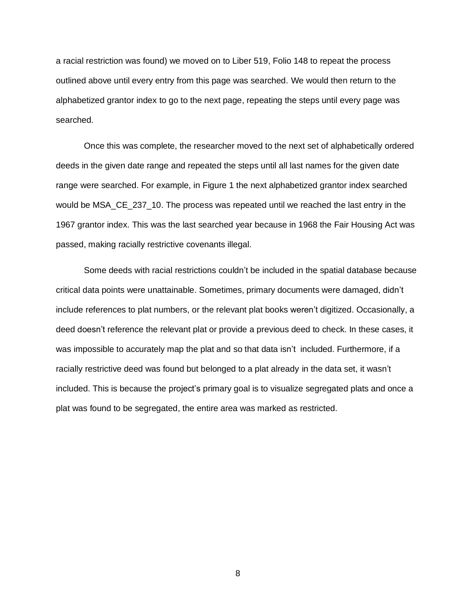a racial restriction was found) we moved on to Liber 519, Folio 148 to repeat the process outlined above until every entry from this page was searched. We would then return to the alphabetized grantor index to go to the next page, repeating the steps until every page was searched.

Once this was complete, the researcher moved to the next set of alphabetically ordered deeds in the given date range and repeated the steps until all last names for the given date range were searched. For example, in [Figure 1](#page-6-0) the next alphabetized grantor index searched would be MSA\_CE\_237\_10. The process was repeated until we reached the last entry in the 1967 grantor index. This was the last searched year because in 1968 the Fair Housing Act was passed, making racially restrictive covenants illegal.

Some deeds with racial restrictions couldn't be included in the spatial database because critical data points were unattainable. Sometimes, primary documents were damaged, didn't include references to plat numbers, or the relevant plat books weren't digitized. Occasionally, a deed doesn't reference the relevant plat or provide a previous deed to check. In these cases, it was impossible to accurately map the plat and so that data isn't included. Furthermore, if a racially restrictive deed was found but belonged to a plat already in the data set, it wasn't included. This is because the project's primary goal is to visualize segregated plats and once a plat was found to be segregated, the entire area was marked as restricted.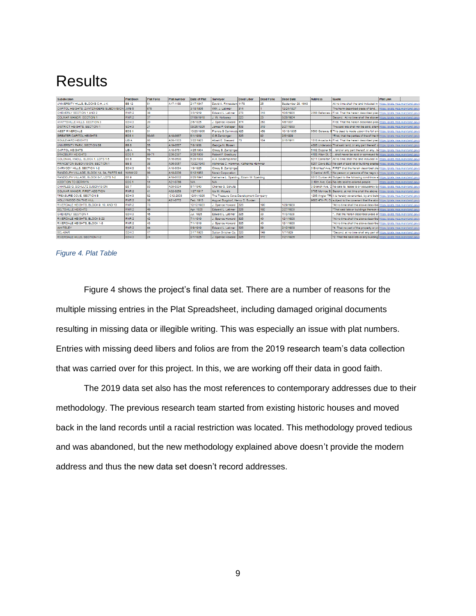## <span id="page-10-0"></span>**Results**

| <b>Subdivision</b>                             | <b>Plat Book</b> | <b>Plat Folio</b> | Plat number | Date of Plat | Surveyor                                 | <b>Deed Liber</b> | Deed Folio | Deed Date          | <b>Address</b>    | Quote                                                                                   | <b>Plat Link</b>               |  |
|------------------------------------------------|------------------|-------------------|-------------|--------------|------------------------------------------|-------------------|------------|--------------------|-------------------|-----------------------------------------------------------------------------------------|--------------------------------|--|
| UNIVERSITY HILLS, BLOCKS C-H, J-K              | <b>BB 12</b>     | 61                | A17-1138    | 2/17/1947    | David A. Finkelstein, 1178               |                   | 25         | September 28, 1949 |                   | At no time shall the land included in                                                   | https://plats.msa.maryland.gov |  |
| CAPITOL HEIGHTS, ZANTZINGERS SUBDIVISION JWB 5 |                  | 676               |             | 3/18/1905    | WM. J. Latimer                           | 314               |            | 12/24/1927         |                   | The herin described piece of land                                                       | https://plats.msa.maryland.gov |  |
| CHEVERLY SECTION 1 AND 2                       | RNR <sub>2</sub> | 38                |             | 3/3/1919     | Edward L. Latimer                        | 278               | 316        | 10/6/1926          |                   | 2356 Belleview / First. That the herein described piec https://plats.msa.maryland.gov   |                                |  |
| <b>COLMAR MANOR, SECTION 1</b>                 | RNR 2            | 37                |             | 07/09/1918   | J. W. Holloway                           | 223               | 23         | 8/26/1924          |                   | Second. At no time shall the above- https://plats.msa.maryland.gov                      |                                |  |
| HYATTSVILLE HILLS, SECTION 3                   | SDH <sub>3</sub> | 20                |             | 2/6/1925     | J. Spence Howard                         | 474               | 263        | 4/5/1937           |                   | First. That the herein described piece https://plats.msa.maryland.gov                   |                                |  |
| DISTRICT HEIGHTS, SECTION 1                    | SDH <sub>3</sub> | 21                |             | 03/26/1925   | James P. Gallager                        | 538               | 319        | 9/27/1939          |                   | The said lots shall not be sold, aliend https://plats.msa.maryland.gov                  |                                |  |
| WEST RIVERDALE                                 | <b>BDS1</b>      | 31                |             | 10/23/1906   | Francis S Cammody 426                    |                   | 459        | 10/18/1935         |                   | 6500 Gateway E This deed is made upoon the full and https://plats.msa.maryland.gov      |                                |  |
| <b>GREATER CAPITOL HEIGHTS</b>                 | BDS <sub>1</sub> | 60-65             | A18-0867    | 6/1/1909     | O.B Zantzinger                           | 326               | 92         | 2/5/1929           |                   | "First, that the parties of the of the th https://plats.msa.maryland.gov                |                                |  |
| <b>BOULEVARD HEIGHTS</b>                       | LIB A            | 80                | A06-1503    | 3/22/1923    | Albert E. Steward                        | 70                | 154        | 2/15/1911          |                   | 1516 Arcadia Av First. That the herein described piec https://plats.msa.maryland.gov    |                                |  |
| UNIVERSITY PARK, SECTION 6B                    | вв в             | 55                | A19-0567    | 7/8/1938     | George N. Bowen                          |                   |            |                    |                   | 4306 Underwood That said land, or any part thereof, o https://plats.msa.maryland.gov    |                                |  |
| <b>CAPITOL HEIGHTS</b>                         | LIB A            | 76                | A18-0761    | 4/25/1904    | Otway B. Zantzinger                      |                   |            |                    |                   | 5102 Doppler St land or any part thereof, or any be https://plats.msa.maryland.gov      |                                |  |
| <b>BRADBURY HEIGHTS</b>                        | BDS <sub>1</sub> | 69-71             | E06-2397    | 9/28/1909    | Robert F. Bradbury                       |                   |            |                    | 4108 Alton St. C. | shall never be sold or conveyed to https://plats.msa.maryland.gov                       |                                |  |
| COLONIAL KNOLL, BLOCK 1, LOTS 1-5              | івв в            | 59                | A16-0580    | 5/20/1938    | A.H. Seidenspinner                       |                   |            |                    |                   | 6211 Carrollton 1At no time shall the land included in   https://plats.msa.maryland.gov |                                |  |
| PRINCETON SUBDIVISION, SECTION 1               | BB <sub>8</sub>  | 38                | A06-0057    | 10/22/1940   | Alphonse C. Hammer, Katherine Hammer     |                   |            |                    |                   | 6207 Davis BLV No part of said lot or building erected https://plats.msa.maryland.gov   |                                |  |
| CARMODY HILLS, SECTION 1-2                     | SDH <sub>3</sub> | 10                | A18-0034    | 1/9/1925     | Otway B. Zantzinger                      |                   |            |                    |                   | 0 Birchleaf Ave, FIRST: that the herein described pier https://plats.msa.maryland.gov   |                                |  |
| RANDOLPH VILLAGE, BLOCK 1A, 3A, PARTS 4-6      | <b>WWW 22</b>    | 66                | A18-2236    | 6/12/1953    | Norair Corporation                       |                   |            |                    |                   | 0 Central AVE, H No person or persons of the negro rahttps://plats.msa.maryland.gov     |                                |  |
| RANDOLPH VILLAGE, BLOCK 6-7, LOTS 1-2          | l BB 9           |                   | A18-0002    | 8/25/1941    | Katharine L. Spalding, Edwin W. Spalding |                   |            |                    |                   | 8513 Dunbar AV Subject to the following conditinos at https://plats.msa.maryland.gov    |                                |  |
| ADDITION TO BERWYN                             | <b>BDS1</b>      | 14                | A21-0766    | N/A          | N/A                                      |                   |            |                    |                   | 0 48th Ave. Colle No lots sold to colored people                                        | https://plats.msa.maryland.gov |  |
| CHARLES G. SCHULTZ SUBDIVISION                 | <b>BB7</b>       | 93                | A09-0334    | 5/7/1940     | Charles G. Schultz                       |                   |            |                    |                   | 0 Branch Ave, C No sale to, lease to or occupancy by https://plats.msa.maryland.gov     |                                |  |
| COLMAR MANOR, FIRST ADDITION                   | RNR <sub>2</sub> | 41                | A02-0258    | 1/27/1917    | Ida M. Moyers                            |                   |            |                    |                   | 3705 Monroe St. Second, at not time shall the above thttps://plats.msa.maryland.gov     |                                |  |
| TREASURE COVE, SECTION B                       | SDH <sub>3</sub> | 62                | C12-2803    | 12/01/1926   | The Treasure Cove Development Company    |                   |            |                    |                   | 1206 Angler TRI it is hereby covenanted, by and betwinttps://plats.msa.maryland.gov     |                                |  |
| HOLLYWOOD ON THE HILL                          | RNR <sub>2</sub> | 18                | A21-0772    | Feb. 1913    | August Burgdorf, Henry C. Burden         |                   |            |                    |                   | 9603 47th PI, Cd subject to the covenant that the abovi https://plats.msa.maryland.gov  |                                |  |
| RIVERDALE HEIGHTS, BLOCK 9, 10, AND 13         | RNR <sub>2</sub> | 73                |             | 12/12/1923   | J. Spence Howard 326                     |                   | 190        | 1/29/1929          |                   | "At no time shall the above describer https://plats.msa.maryland.gov                    |                                |  |
| BELTSVILLE HEIGHTS                             | RNR <sub>2</sub> | 49                |             | Apr. 1920    | Edward L. Latimer                        | 326               | 192        | 2/27/1929          |                   | That said lots or buildings thereon shttps://plats.msa.maryland.gov                     |                                |  |
| CHEVERLY SECTION 4                             | SDH <sub>3</sub> | 45                |             | Jul. 1926    | Edward L. Latimer                        | 326               | 33         | 11/3/1928          |                   | that the herein described piece or https://plats.msa.maryland.gov                       |                                |  |
| RIVERDALE HEIGHTS, BLOCK 8-22                  | RNR <sub>2</sub> | 42                |             | 7/1/1919     | J. Spence Howard                         | 326               | 40         | 12/1/1928          |                   | "At no time shall the above describe https://plats.msa.maryland.gov                     |                                |  |
| RIVERDALE HEIGHTS, BLOCK 1-8                   | RNR <sub>2</sub> | 43                |             | 7/1/1919     | J. Spence Howard                         | 326               | 40         | 12/1/1928          |                   | "At no time shall the above describer https://plats.msa.maryland.gov                    |                                |  |
| <b>WHITELEY</b>                                | RNR 2            | 44                |             | 8/9/1919     | Edward L. Latimer                        | 326               | 89         | 2/12/1929          |                   | "4. That no part of the property or prohttps://plats.msa.maryland.gov                   |                                |  |
| BEL-MAR                                        | SDH <sub>3</sub> | 47                |             | 3/17/1925    | Sutton Britcher Co.                      | 326               | 149        | 1/7/1929           |                   | "Second, at no time shall any part of https://plats.msa.maryland.gov                    |                                |  |
| RIVERDALE HILLS, SECTION 1-2.                  | SDH <sub>3</sub> | 24                |             | 8/7/1925     | J. Snence Howard 326                     |                   | 172        | 7/21/1926          |                   | *2. That the said lots or any building lottos://plats msa maryland.gov                  |                                |  |

#### *Figure 4. Plat Table*

Figure 4 shows the project's final data set. There are a number of reasons for the multiple missing entries in the Plat Spreadsheet, including damaged original documents resulting in missing data or illegible writing. This was especially an issue with plat numbers. Entries with missing deed libers and folios are from the 2019 research team's data collection that was carried over for this project. In this, we are working off their data in good faith.

The 2019 data set also has the most references to contemporary addresses due to their methodology. The previous research team started from existing historic houses and moved back in the land records until a racial restriction was located. This methodology proved tedious and was abandoned, but the new methodology explained above doesn't provide the modern address and thus the new data set doesn't record addresses.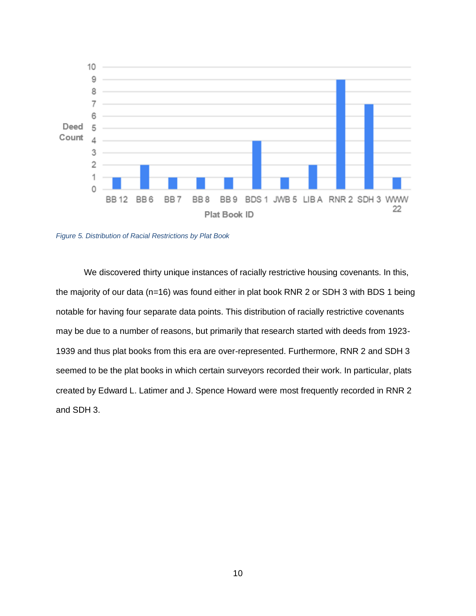

*Figure 5. Distribution of Racial Restrictions by Plat Book*

We discovered thirty unique instances of racially restrictive housing covenants. In this, the majority of our data (n=16) was found either in plat book RNR 2 or SDH 3 with BDS 1 being notable for having four separate data points. This distribution of racially restrictive covenants may be due to a number of reasons, but primarily that research started with deeds from 1923- 1939 and thus plat books from this era are over-represented. Furthermore, RNR 2 and SDH 3 seemed to be the plat books in which certain surveyors recorded their work. In particular, plats created by Edward L. Latimer and J. Spence Howard were most frequently recorded in RNR 2 and SDH 3.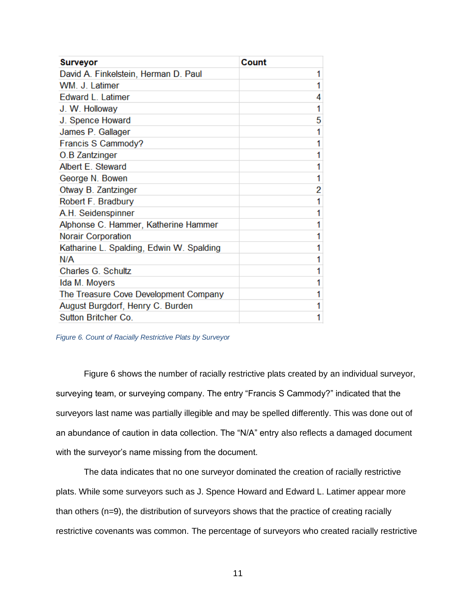| <b>Surveyor</b>                          | Count |
|------------------------------------------|-------|
| David A. Finkelstein, Herman D. Paul     |       |
| WM. J. Latimer                           |       |
| <b>Edward L. Latimer</b>                 | 4     |
| J. W. Holloway                           |       |
| J. Spence Howard                         | 5     |
| James P. Gallager                        |       |
| Francis S Cammody?                       |       |
| O.B Zantzinger                           |       |
| Albert E. Steward                        |       |
| George N. Bowen                          |       |
| Otway B. Zantzinger                      | 2     |
| Robert F. Bradbury                       |       |
| A.H. Seidenspinner                       |       |
| Alphonse C. Hammer, Katherine Hammer     |       |
| <b>Norair Corporation</b>                |       |
| Katharine L. Spalding, Edwin W. Spalding |       |
| N/A                                      |       |
| Charles G. Schultz                       |       |
| Ida M. Moyers                            |       |
| The Treasure Cove Development Company    |       |
| August Burgdorf, Henry C. Burden         |       |
| <b>Sutton Britcher Co.</b>               | 1     |

*Figure 6. Count of Racially Restrictive Plats by Surveyor*

Figure 6 shows the number of racially restrictive plats created by an individual surveyor, surveying team, or surveying company. The entry "Francis S Cammody?" indicated that the surveyors last name was partially illegible and may be spelled differently. This was done out of an abundance of caution in data collection. The "N/A" entry also reflects a damaged document with the surveyor's name missing from the document.

The data indicates that no one surveyor dominated the creation of racially restrictive plats. While some surveyors such as J. Spence Howard and Edward L. Latimer appear more than others (n=9), the distribution of surveyors shows that the practice of creating racially restrictive covenants was common. The percentage of surveyors who created racially restrictive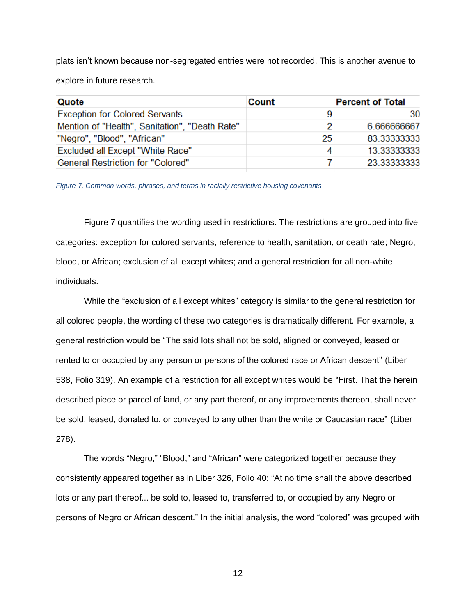plats isn't known because non-segregated entries were not recorded. This is another avenue to explore in future research.

| Quote                                          | Count           | <b>Percent of Total</b> |
|------------------------------------------------|-----------------|-------------------------|
| <b>Exception for Colored Servants</b>          | 9               | 30                      |
| Mention of "Health", Sanitation", "Death Rate" | $\overline{2}$  | 6.666666667             |
| "Negro", "Blood", "African"                    | 25 <sup>2</sup> | 83.333333333            |
| <b>Excluded all Except "White Race"</b>        | 4               | 13.333333333            |
| <b>General Restriction for "Colored"</b>       |                 | 23.333333333            |

*Figure 7. Common words, phrases, and terms in racially restrictive housing covenants*

Figure 7 quantifies the wording used in restrictions. The restrictions are grouped into five categories: exception for colored servants, reference to health, sanitation, or death rate; Negro, blood, or African; exclusion of all except whites; and a general restriction for all non-white individuals.

While the "exclusion of all except whites" category is similar to the general restriction for all colored people, the wording of these two categories is dramatically different. For example, a general restriction would be "The said lots shall not be sold, aligned or conveyed, leased or rented to or occupied by any person or persons of the colored race or African descent" (Liber 538, Folio 319). An example of a restriction for all except whites would be "First. That the herein described piece or parcel of land, or any part thereof, or any improvements thereon, shall never be sold, leased, donated to, or conveyed to any other than the white or Caucasian race" (Liber 278).

The words "Negro," "Blood," and "African" were categorized together because they consistently appeared together as in Liber 326, Folio 40: "At no time shall the above described lots or any part thereof... be sold to, leased to, transferred to, or occupied by any Negro or persons of Negro or African descent." In the initial analysis, the word "colored" was grouped with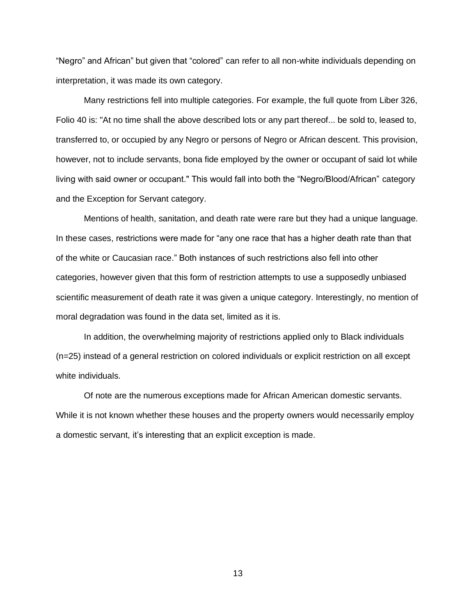"Negro" and African" but given that "colored" can refer to all non-white individuals depending on interpretation, it was made its own category.

Many restrictions fell into multiple categories. For example, the full quote from Liber 326, Folio 40 is: "At no time shall the above described lots or any part thereof... be sold to, leased to, transferred to, or occupied by any Negro or persons of Negro or African descent. This provision, however, not to include servants, bona fide employed by the owner or occupant of said lot while living with said owner or occupant." This would fall into both the "Negro/Blood/African" category and the Exception for Servant category.

Mentions of health, sanitation, and death rate were rare but they had a unique language. In these cases, restrictions were made for "any one race that has a higher death rate than that of the white or Caucasian race." Both instances of such restrictions also fell into other categories, however given that this form of restriction attempts to use a supposedly unbiased scientific measurement of death rate it was given a unique category. Interestingly, no mention of moral degradation was found in the data set, limited as it is.

In addition, the overwhelming majority of restrictions applied only to Black individuals (n=25) instead of a general restriction on colored individuals or explicit restriction on all except white individuals.

Of note are the numerous exceptions made for African American domestic servants. While it is not known whether these houses and the property owners would necessarily employ a domestic servant, it's interesting that an explicit exception is made.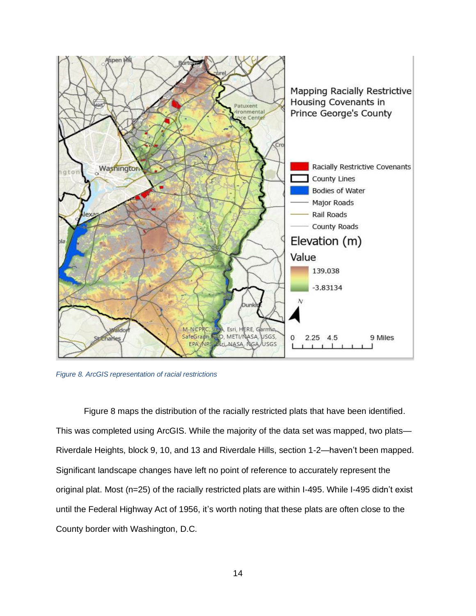

*Figure 8. ArcGIS representation of racial restrictions*

Figure 8 maps the distribution of the racially restricted plats that have been identified. This was completed using ArcGIS. While the majority of the data set was mapped, two plats— Riverdale Heights, block 9, 10, and 13 and Riverdale Hills, section 1-2—haven't been mapped. Significant landscape changes have left no point of reference to accurately represent the original plat. Most (n=25) of the racially restricted plats are within I-495. While I-495 didn't exist until the Federal Highway Act of 1956, it's worth noting that these plats are often close to the County border with Washington, D.C.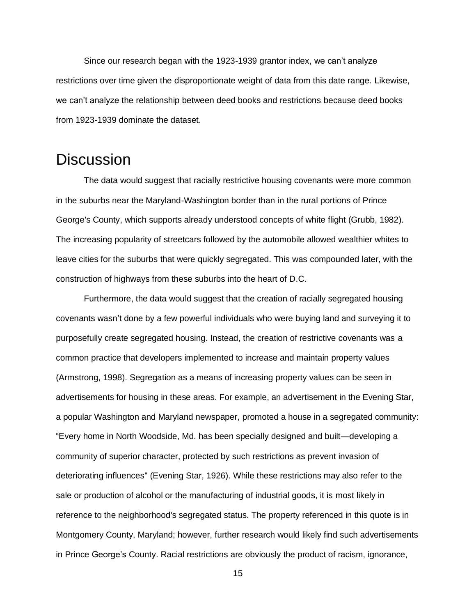Since our research began with the 1923-1939 grantor index, we can't analyze restrictions over time given the disproportionate weight of data from this date range. Likewise, we can't analyze the relationship between deed books and restrictions because deed books from 1923-1939 dominate the dataset.

#### <span id="page-16-0"></span>**Discussion**

The data would suggest that racially restrictive housing covenants were more common in the suburbs near the Maryland-Washington border than in the rural portions of Prince George's County, which supports already understood concepts of white flight (Grubb, 1982). The increasing popularity of streetcars followed by the automobile allowed wealthier whites to leave cities for the suburbs that were quickly segregated. This was compounded later, with the construction of highways from these suburbs into the heart of D.C.

Furthermore, the data would suggest that the creation of racially segregated housing covenants wasn't done by a few powerful individuals who were buying land and surveying it to purposefully create segregated housing. Instead, the creation of restrictive covenants was a common practice that developers implemented to increase and maintain property values (Armstrong, 1998). Segregation as a means of increasing property values can be seen in advertisements for housing in these areas. For example, an advertisement in the Evening Star, a popular Washington and Maryland newspaper, promoted a house in a segregated community: "Every home in North Woodside, Md. has been specially designed and built—developing a community of superior character, protected by such restrictions as prevent invasion of deteriorating influences'' (Evening Star, 1926). While these restrictions may also refer to the sale or production of alcohol or the manufacturing of industrial goods, it is most likely in reference to the neighborhood's segregated status. The property referenced in this quote is in Montgomery County, Maryland; however, further research would likely find such advertisements in Prince George's County. Racial restrictions are obviously the product of racism, ignorance,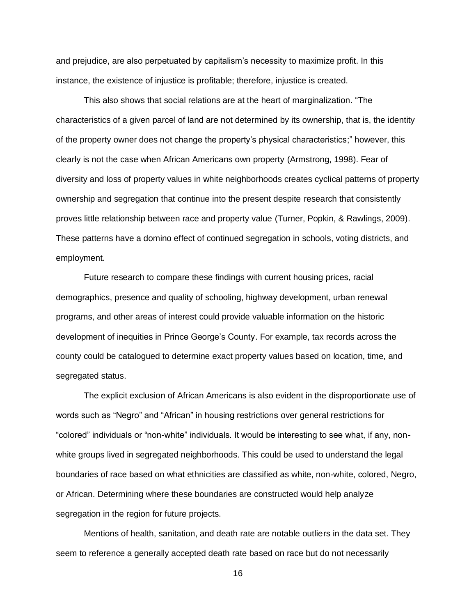and prejudice, are also perpetuated by capitalism's necessity to maximize profit. In this instance, the existence of injustice is profitable; therefore, injustice is created.

This also shows that social relations are at the heart of marginalization. "The characteristics of a given parcel of land are not determined by its ownership, that is, the identity of the property owner does not change the property's physical characteristics;" however, this clearly is not the case when African Americans own property (Armstrong, 1998). Fear of diversity and loss of property values in white neighborhoods creates cyclical patterns of property ownership and segregation that continue into the present despite research that consistently proves little relationship between race and property value (Turner, Popkin, & Rawlings, 2009). These patterns have a domino effect of continued segregation in schools, voting districts, and employment.

Future research to compare these findings with current housing prices, racial demographics, presence and quality of schooling, highway development, urban renewal programs, and other areas of interest could provide valuable information on the historic development of inequities in Prince George's County. For example, tax records across the county could be catalogued to determine exact property values based on location, time, and segregated status.

The explicit exclusion of African Americans is also evident in the disproportionate use of words such as "Negro" and "African" in housing restrictions over general restrictions for "colored" individuals or "non-white" individuals. It would be interesting to see what, if any, nonwhite groups lived in segregated neighborhoods. This could be used to understand the legal boundaries of race based on what ethnicities are classified as white, non-white, colored, Negro, or African. Determining where these boundaries are constructed would help analyze segregation in the region for future projects.

Mentions of health, sanitation, and death rate are notable outliers in the data set. They seem to reference a generally accepted death rate based on race but do not necessarily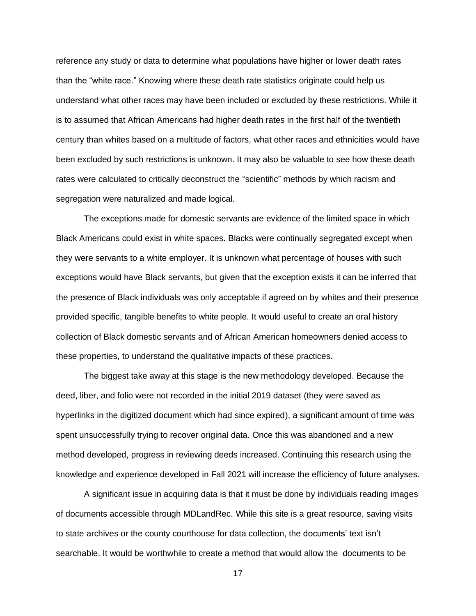reference any study or data to determine what populations have higher or lower death rates than the "white race." Knowing where these death rate statistics originate could help us understand what other races may have been included or excluded by these restrictions. While it is to assumed that African Americans had higher death rates in the first half of the twentieth century than whites based on a multitude of factors, what other races and ethnicities would have been excluded by such restrictions is unknown. It may also be valuable to see how these death rates were calculated to critically deconstruct the "scientific" methods by which racism and segregation were naturalized and made logical.

The exceptions made for domestic servants are evidence of the limited space in which Black Americans could exist in white spaces. Blacks were continually segregated except when they were servants to a white employer. It is unknown what percentage of houses with such exceptions would have Black servants, but given that the exception exists it can be inferred that the presence of Black individuals was only acceptable if agreed on by whites and their presence provided specific, tangible benefits to white people. It would useful to create an oral history collection of Black domestic servants and of African American homeowners denied access to these properties, to understand the qualitative impacts of these practices.

The biggest take away at this stage is the new methodology developed. Because the deed, liber, and folio were not recorded in the initial 2019 dataset (they were saved as hyperlinks in the digitized document which had since expired), a significant amount of time was spent unsuccessfully trying to recover original data. Once this was abandoned and a new method developed, progress in reviewing deeds increased. Continuing this research using the knowledge and experience developed in Fall 2021 will increase the efficiency of future analyses.

A significant issue in acquiring data is that it must be done by individuals reading images of documents accessible through MDLandRec. While this site is a great resource, saving visits to state archives or the county courthouse for data collection, the documents' text isn't searchable. It would be worthwhile to create a method that would allow the documents to be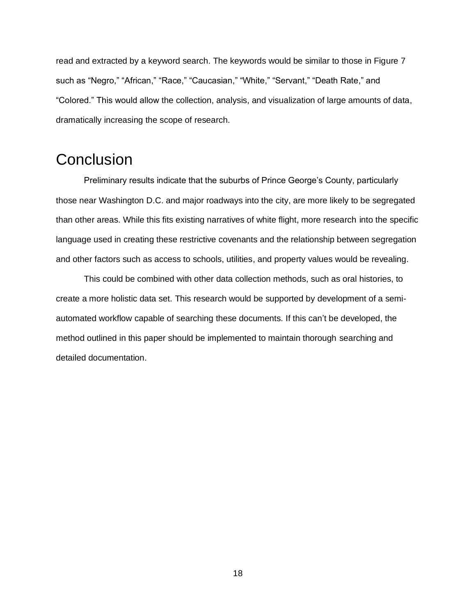read and extracted by a keyword search. The keywords would be similar to those in Figure 7 such as "Negro," "African," "Race," "Caucasian," "White," "Servant," "Death Rate," and "Colored." This would allow the collection, analysis, and visualization of large amounts of data, dramatically increasing the scope of research.

#### <span id="page-19-0"></span>**Conclusion**

Preliminary results indicate that the suburbs of Prince George's County, particularly those near Washington D.C. and major roadways into the city, are more likely to be segregated than other areas. While this fits existing narratives of white flight, more research into the specific language used in creating these restrictive covenants and the relationship between segregation and other factors such as access to schools, utilities, and property values would be revealing.

This could be combined with other data collection methods, such as oral histories, to create a more holistic data set. This research would be supported by development of a semiautomated workflow capable of searching these documents. If this can't be developed, the method outlined in this paper should be implemented to maintain thorough searching and detailed documentation.